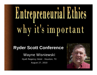# Entrepreneurial Ethics why it's important

## **Ryder Scott Conference**

Wayne Wisniewski

Hyatt Regency Hotel - Houston, TX August 27, 2010

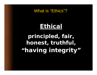What is "Ethics"?

# **Ethical**

**principled, fair, honest, truthful, "having integrity"**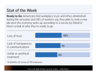# Stat of the Week

**Ready to Go:** Americans feel workplace trust and ethics diminished during the recession and 34% of workers say they plan to seek a new job once the economy picks up, according to a survey by Deloitte". Here's a look at why they're ready to go:



\*A Deloitte LLP survey of 754 employees

From the Wall Street Journal online – 8/8/2010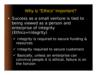### Why is "Ethics" Important?

- Success as a small venture is tied to being viewed as a person and enterprise of integrity (Ethics=Integrity)
	- $\checkmark$  Integrity is required to secure funding & resources
	- $\checkmark$  Integrity required to secure customers
	- $\sqrt{ }$  Basically, unless an enterprise can convince people it is ethical, failure is on the horizon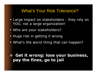#### What's Your Risk Tolerance?

- Large impact on stakeholders they rely on YOU, not a large organization!
- Who are your stakeholders?
- Huge risk in getting it wrong
- What's the worst thing that can happen?

#### **Get it wrong: lose your business, pay the fines, go to jail**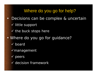# Where do you go for help?

- •Decisions can be complex & uncertain
	- $\checkmark$  little support
	- $\checkmark$  the buck stops here
- • Where do you go for guidance?
	- $\checkmark$  board
	- $\checkmark$  management
	- $\checkmark$  peers
	- $\checkmark$  decision framework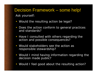#### Decision Framework – some help! Ask yourself:

- Would the resulting action be legal?
- Does the action conform to general practices and standards?
- Have I consulted with others regarding the action and possible consequences?
- Would stakeholders see the action as responsible stewardship?
- Would I mind having information regarding the decision made public?
- Would I feel good about the resulting action?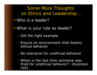Some More Thoughts on Ethics and Leadership…

- Who is a leader?
- • What is your role as leader?
	- –Set the right example
	- Ensure an environment that fosters ethical behavior
	- No tolerance for unethical behavior
	- When is the last time someone was fired for unethical behavior? (business risk)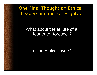One Final Thought on Ethics, Leadership and Foresight…

#### What about the failure of a leader to "foresee"?

#### Is it an ethical issue?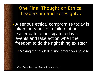One Final Thought on Ethics, Leadership and Foresight…

• A serious ethical compromise today is often the result of a failure at an earlier date to anticipate today's events and take action when the freedom to do the right thing existed\*

 $\checkmark$  Making the tough decision before you have to

\* after Greenleaf on "Servant Leadership"